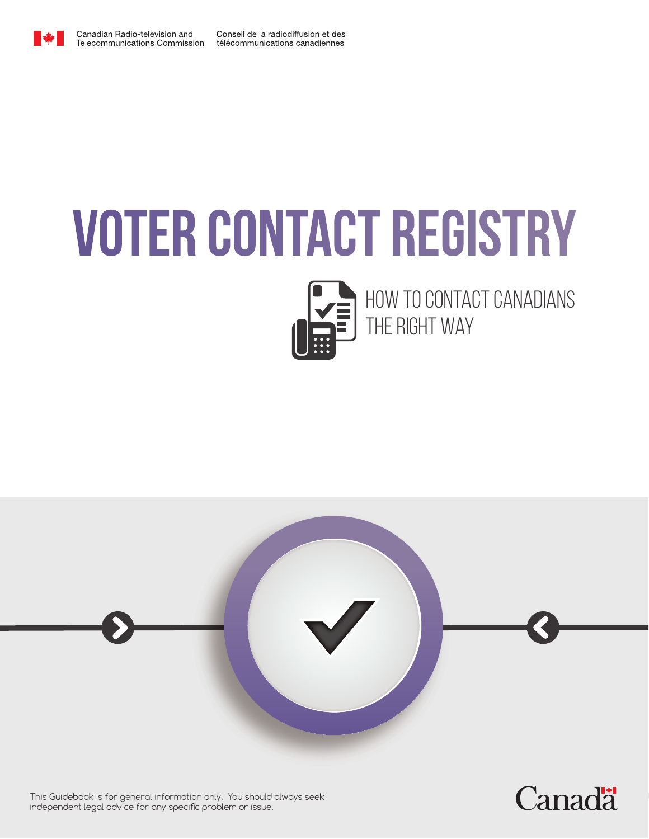

# **Voter Contact Registry**



How to contact Canadians the right way

**Canadä** 



This Guidebook is for general information only. You should always seek independent legal advice for any specific problem or issue.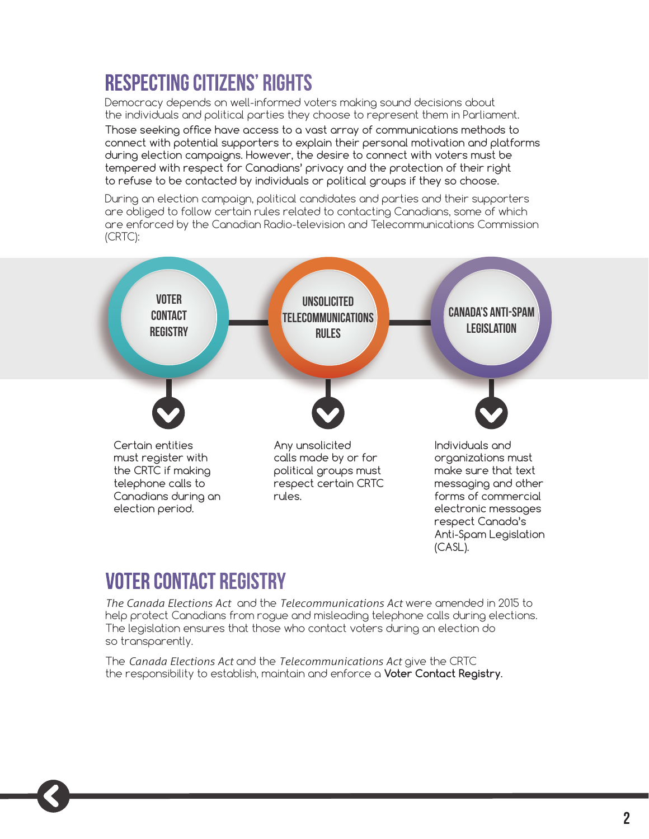# **Respecting Citizens' Rights**

Democracy depends on well-informed voters making sound decisions about the individuals and political parties they choose to represent them in Parliament.

Those seeking office have access to a vast array of communications methods to connect with potential supporters to explain their personal motivation and platforms during election campaigns. However, the desire to connect with voters must be tempered with respect for Canadians' privacy and the protection of their right to refuse to be contacted by individuals or political groups if they so choose.

During an election campaign, political candidates and parties and their supporters are obliged to follow certain rules related to contacting Canadians, some of which are enforced by the Canadian Radio-television and Telecommunications Commission (CRTC):



## **Voter Contact Registry**

*The Canada Elections Act* and the *Telecommunications Act* were amended in 2015 to help protect Canadians from rogue and misleading telephone calls during elections. The legislation ensures that those who contact voters during an election do so transparently.

The *Canada Elections Act* and the *Telecommunications Act* give the CRTC the responsibility to establish, maintain and enforce a **Voter Contact Registry**.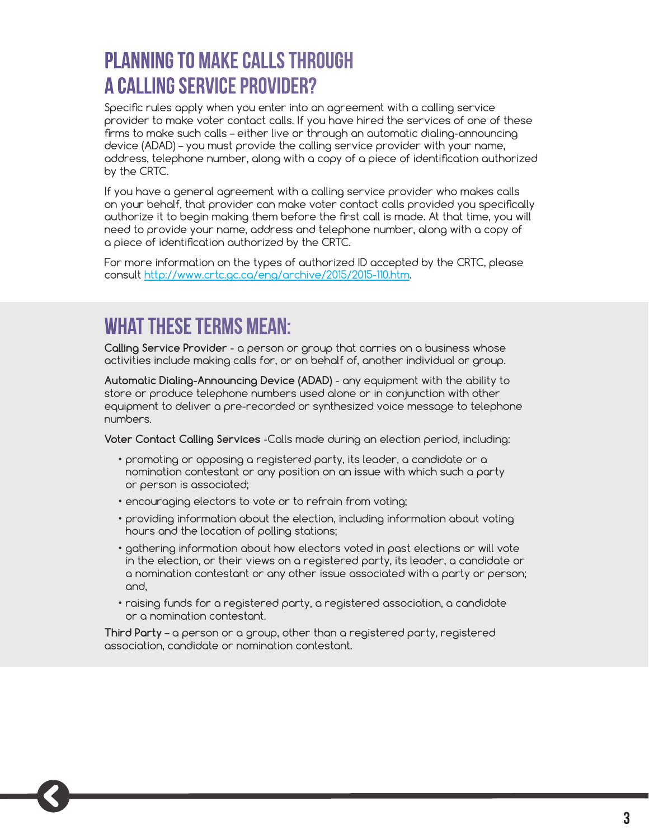# **Planning to make calls through a Calling Service Provider?**

Specific rules apply when you enter into an agreement with a calling service provider to make voter contact calls. If you have hired the services of one of these firms to make such calls – either live or through an automatic dialing-announcing device (ADAD) – you must provide the calling service provider with your name, address, telephone number, along with a copy of a piece of identification authorized by the CRTC.

If you have a general agreement with a calling service provider who makes calls on your behalf, that provider can make voter contact calls provided you specifically authorize it to begin making them before the first call is made. At that time, you will need to provide your name, address and telephone number, along with a copy of a piece of identification authorized by the CRTC.

For more information on the types of authorized ID accepted by the CRTC, please consult http://www.crtc.gc.ca/eng/archive/2015/2015-110.htm.

## **What these terms mean:**

**Calling Service Provider** - a person or group that carries on a business whose activities include making calls for, or on behalf of, another individual or group.

**Automatic Dialing-Announcing Device (ADAD)** - any equipment with the ability to store or produce telephone numbers used alone or in conjunction with other equipment to deliver a pre-recorded or synthesized voice message to telephone numbers.

**Voter Contact Calling Services** -Calls made during an election period, including:

- promoting or opposing a registered party, its leader, a candidate or a nomination contestant or any position on an issue with which such a party or person is associated;
- encouraging electors to vote or to refrain from voting;
- providing information about the election, including information about voting hours and the location of polling stations;
- gathering information about how electors voted in past elections or will vote in the election, or their views on a registered party, its leader, a candidate or a nomination contestant or any other issue associated with a party or person; and,
- raising funds for a registered party, a registered association, a candidate or a nomination contestant.

**Third Party** – a person or a group, other than a registered party, registered association, candidate or nomination contestant.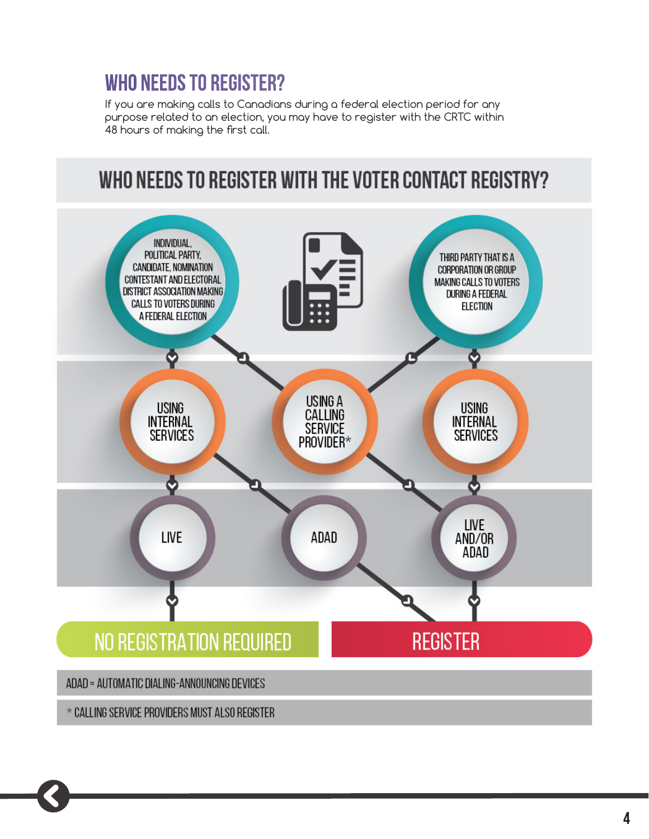# **Who needs to register?**

If you are making calls to Canadians during a federal election period for any purpose related to an election, you may have to register with the CRTC within 48 hours of making the first call.

# WHO NEEDS TO REGISTER WITH THE VOTER CONTACT REGISTRY?

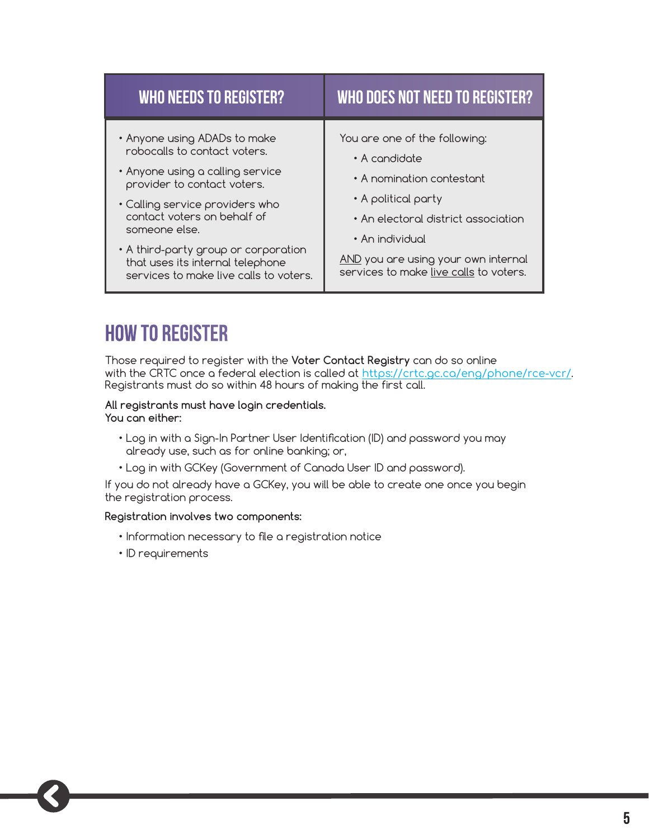| <b>WHO NEEDS TO REGISTER?</b>                                                                                                                                                                                                                                                                                                            | WHO DOES NOT NEED TO REGISTER?                                                                                                                                                                                                                |
|------------------------------------------------------------------------------------------------------------------------------------------------------------------------------------------------------------------------------------------------------------------------------------------------------------------------------------------|-----------------------------------------------------------------------------------------------------------------------------------------------------------------------------------------------------------------------------------------------|
| • Anyone using ADADs to make<br>robocalls to contact voters.<br>• Anyone using a calling service<br>provider to contact voters.<br>• Calling service providers who<br>contact voters on behalf of<br>someone else.<br>• A third-party group or corporation<br>that uses its internal telephone<br>services to make live calls to voters. | You are one of the following:<br>• A condidate<br>• A nomination contestant<br>• A political party<br>• An electoral district association<br>• An individual<br>AND you are using your own internal<br>services to make live calls to voters. |

## **How to register**

Those required to register with the **Voter Contact Registry** can do so online with the CRTC once a federal election is called at <https://crtc.gc.ca/eng/phone/rce-vcr/>. Registrants must do so within 48 hours of making the first call.

#### **All registrants must have login credentials. You can either:**

- Log in with a Sign-In Partner User Identification (ID) and password you may already use, such as for online banking; or,
- Log in with GCKey (Government of Canada User ID and password).

If you do not already have a GCKey, you will be able to create one once you begin the registration process.

#### **Registration involves two components:**

- Information necessary to file a registration notice
- ID requirements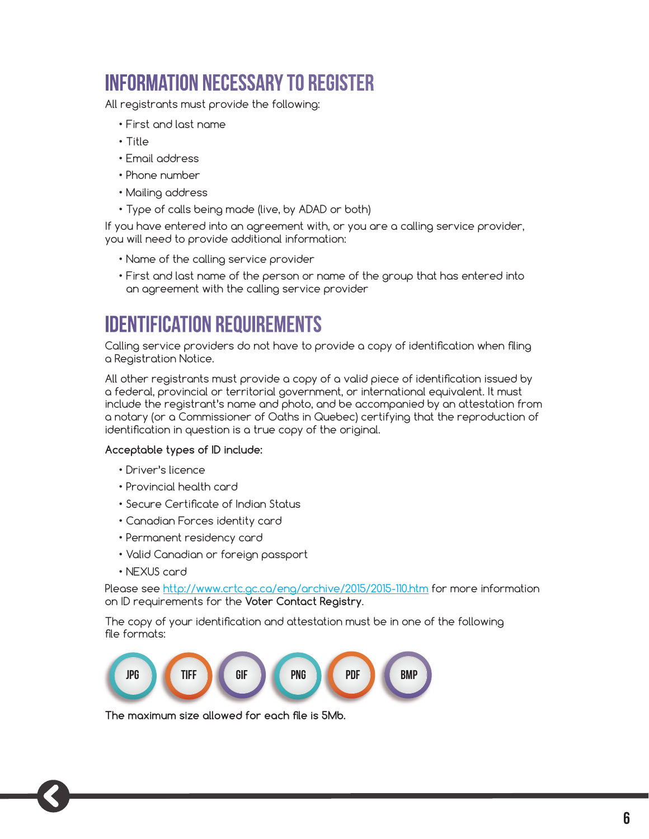# **Information necessary to register**

All registrants must provide the following:

- First and last name
- Title
- Email address
- Phone number
- Mailing address
- Type of calls being made (live, by ADAD or both)

If you have entered into an agreement with, or you are a calling service provider, you will need to provide additional information:

- Name of the calling service provider
- First and last name of the person or name of the group that has entered into an agreement with the calling service provider

# **Identification Requirements**

Calling service providers do not have to provide a copy of identification when filing a Registration Notice.

All other registrants must provide a copy of a valid piece of identification issued by a federal, provincial or territorial government, or international equivalent. It must include the registrant's name and photo, and be accompanied by an attestation from a notary (or a Commissioner of Oaths in Quebec) certifying that the reproduction of identification in question is a true copy of the original.

#### **Acceptable types of ID include:**

- Driver's licence
- Provincial health card
- Secure Certificate of Indian Status
- Canadian Forces identity card
- Permanent residency card
- Valid Canadian or foreign passport
- NEXUS card

Please see http://www.crtc.gc.ca/eng/archive/2015/2015-110.htm for more information on ID requirements for the **Voter Contact Registry**.

The copy of your identification and attestation must be in one of the following file formats:



**The maximum size allowed for each file is 5Mb.**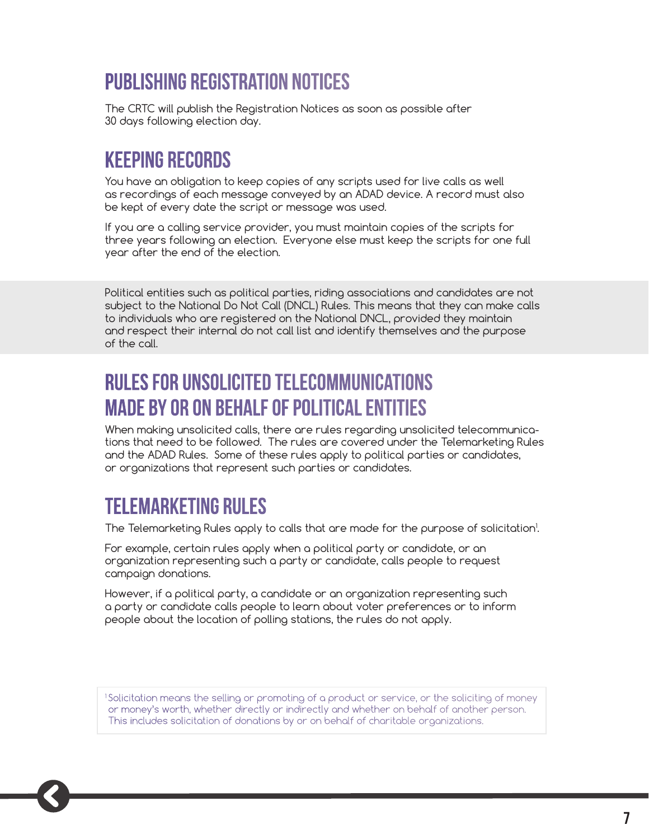# **Publishing Registration Notices**

The CRTC will publish the Registration Notices as soon as possible after 30 days following election day.

## **Keeping records**

You have an obligation to keep copies of any scripts used for live calls as well as recordings of each message conveyed by an ADAD device. A record must also be kept of every date the script or message was used.

If you are a calling service provider, you must maintain copies of the scripts for three years following an election. Everyone else must keep the scripts for one full year after the end of the election.

Political entities such as political parties, riding associations and candidates are not subject to the National Do Not Call (DNCL) Rules. This means that they can make calls to individuals who are registered on the National DNCL, provided they maintain and respect their internal do not call list and identify themselves and the purpose of the call.

## **Rules for Unsolicited Telecommunications made by or on behalf of political entities**

When making unsolicited calls, there are rules regarding unsolicited telecommunications that need to be followed. The rules are covered under the Telemarketing Rules and the ADAD Rules. Some of these rules apply to political parties or candidates, or organizations that represent such parties or candidates.

## **Telemarketing Rules**

The Telemarketing Rules apply to calls that are made for the purpose of solicitation<sup>1</sup>.

For example, certain rules apply when a political party or candidate, or an organization representing such a party or candidate, calls people to request campaign donations.

However, if a political party, a candidate or an organization representing such a party or candidate calls people to learn about voter preferences or to inform people about the location of polling stations, the rules do not apply.

1 Solicitation means the selling or promoting of a product or service, or the soliciting of money or money's worth, whether directly or indirectly and whether on behalf of another person. This includes solicitation of donations by or on behalf of charitable organizations.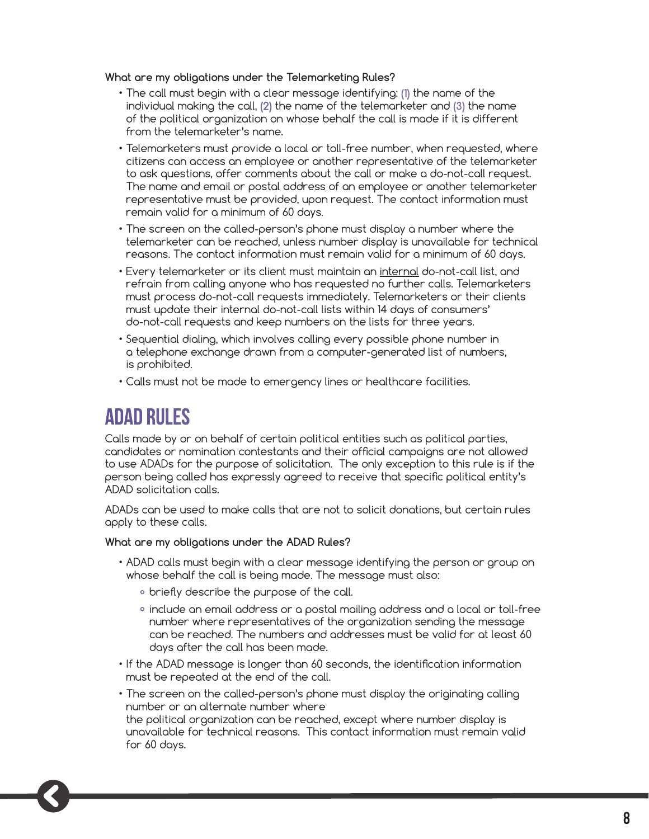#### **What are my obligations under the Telemarketing Rules?**

- The call must begin with a clear message identifying: **(1)** the name of the individual making the call, **(2)** the name of the telemarketer and **(3)** the name of the political organization on whose behalf the call is made if it is different from the telemarketer's name.
- Telemarketers must provide a local or toll-free number, when requested, where citizens can access an employee or another representative of the telemarketer to ask questions, offer comments about the call or make a do-not-call request. The name and email or postal address of an employee or another telemarketer representative must be provided, upon request. The contact information must remain valid for a minimum of 60 days.
- The screen on the called-person's phone must display a number where the telemarketer can be reached, unless number display is unavailable for technical reasons. The contact information must remain valid for a minimum of 60 days.
- Every telemarketer or its client must maintain an internal do-not-call list, and refrain from calling anyone who has requested no further calls. Telemarketers must process do-not-call requests immediately. Telemarketers or their clients must update their internal do-not-call lists within 14 days of consumers' do-not-call requests and keep numbers on the lists for three years.
- Sequential dialing, which involves calling every possible phone number in a telephone exchange drawn from a computer-generated list of numbers, is prohibited.
- Calls must not be made to emergency lines or healthcare facilities.

#### **ADAD Rules**

Calls made by or on behalf of certain political entities such as political parties, candidates or nomination contestants and their official campaigns are not allowed to use ADADs for the purpose of solicitation. The only exception to this rule is if the person being called has expressly agreed to receive that specific political entity's ADAD solicitation calls.

ADADs can be used to make calls that are not to solicit donations, but certain rules apply to these calls.

**What are my obligations under the ADAD Rules?**

- ADAD calls must begin with a clear message identifying the person or group on whose behalf the call is being made. The message must also:
	- ° briefly describe the purpose of the call.
	- ° include an email address or a postal mailing address and a local or toll-free number where representatives of the organization sending the message can be reached. The numbers and addresses must be valid for at least 60 days after the call has been made.
- If the ADAD message is longer than 60 seconds, the identification information must be repeated at the end of the call.
- The screen on the called-person's phone must display the originating calling number or an alternate number where

the political organization can be reached, except where number display is unavailable for technical reasons. This contact information must remain valid for 60 days.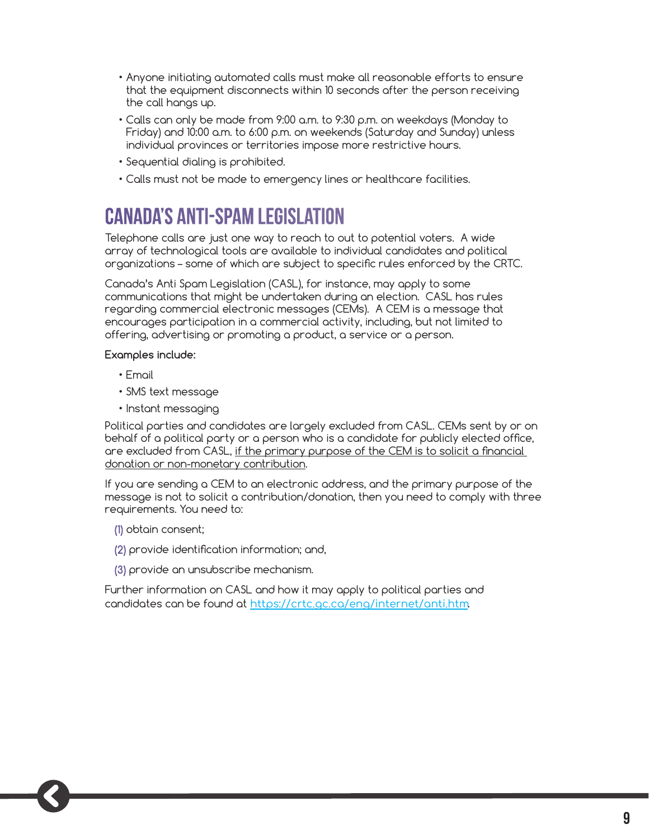- Anyone initiating automated calls must make all reasonable efforts to ensure that the equipment disconnects within 10 seconds after the person receiving the call hangs up.
- Calls can only be made from 9:00 a.m. to 9:30 p.m. on weekdays (Monday to Friday) and 10:00 a.m. to 6:00 p.m. on weekends (Saturday and Sunday) unless individual provinces or territories impose more restrictive hours.
- Sequential dialing is prohibited.
- Calls must not be made to emergency lines or healthcare facilities.

## **Canada's Anti-Spam Legislation**

Telephone calls are just one way to reach to out to potential voters. A wide array of technological tools are available to individual candidates and political organizations – some of which are subject to specific rules enforced by the CRTC.

Canada's Anti Spam Legislation (CASL), for instance, may apply to some communications that might be undertaken during an election. CASL has rules regarding commercial electronic messages (CEMs). A CEM is a message that encourages participation in a commercial activity, including, but not limited to offering, advertising or promoting a product, a service or a person.

#### **Examples include:**

- Email
- SMS text message
- Instant messaging

Political parties and candidates are largely excluded from CASL. CEMs sent by or on behalf of a political party or a person who is a candidate for publicly elected office, are excluded from CASL, if the primary purpose of the CEM is to solicit a financial donation or non-monetary contribution.

If you are sending a CEM to an electronic address, and the primary purpose of the message is not to solicit a contribution/donation, then you need to comply with three requirements. You need to:

- **(1)** obtain consent;
- **(2)** provide identification information; and,
- **(3)** provide an unsubscribe mechanism.

Further information on CASL and how it may apply to political parties and candidates can be found at <https://crtc.gc.ca/eng/internet/anti.htm>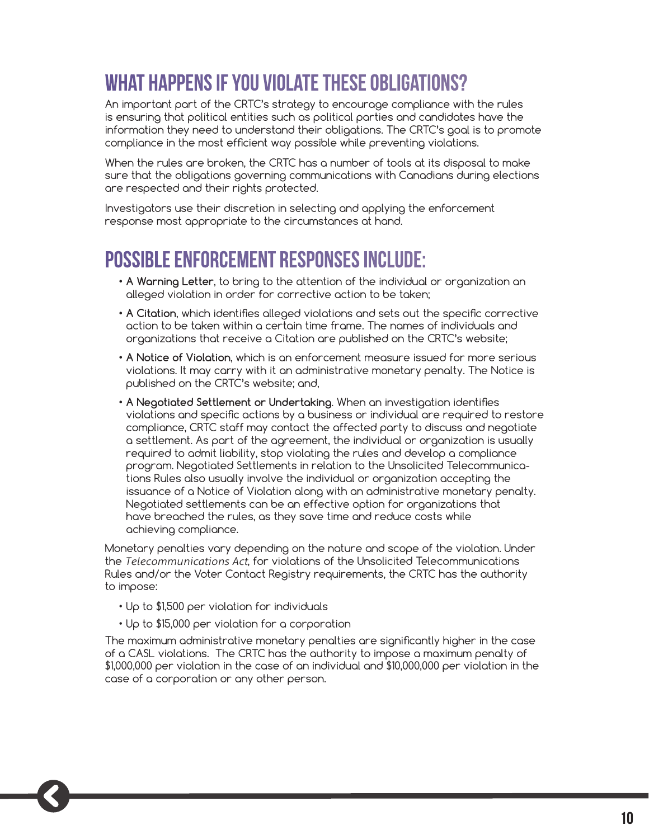# **What happens if you violate these obligations?**

An important part of the CRTC's strategy to encourage compliance with the rules is ensuring that political entities such as political parties and candidates have the information they need to understand their obligations. The CRTC's goal is to promote compliance in the most efficient way possible while preventing violations.

When the rules are broken, the CRTC has a number of tools at its disposal to make sure that the obligations governing communications with Canadians during elections are respected and their rights protected.

Investigators use their discretion in selecting and applying the enforcement response most appropriate to the circumstances at hand.

#### **Possible enforcement responses include:**

- **• A Warning Letter**, to bring to the attention of the individual or organization an alleged violation in order for corrective action to be taken;
- **• A Citation**, which identifies alleged violations and sets out the specific corrective action to be taken within a certain time frame. The names of individuals and organizations that receive a Citation are published on the CRTC's website;
- **• A Notice of Violation**, which is an enforcement measure issued for more serious violations. It may carry with it an administrative monetary penalty. The Notice is published on the CRTC's website; and,
- **• A Negotiated Settlement or Undertaking**. When an investigation identifies violations and specific actions by a business or individual are required to restore compliance, CRTC staff may contact the affected party to discuss and negotiate a settlement. As part of the agreement, the individual or organization is usually required to admit liability, stop violating the rules and develop a compliance program. Negotiated Settlements in relation to the Unsolicited Telecommunications Rules also usually involve the individual or organization accepting the issuance of a Notice of Violation along with an administrative monetary penalty. Negotiated settlements can be an effective option for organizations that have breached the rules, as they save time and reduce costs while achieving compliance.

Monetary penalties vary depending on the nature and scope of the violation. Under the *Telecommunications Act*, for violations of the Unsolicited Telecommunications Rules and/or the Voter Contact Registry requirements, the CRTC has the authority to impose:

- Up to \$1,500 per violation for individuals
- Up to \$15,000 per violation for a corporation

The maximum administrative monetary penalties are significantly higher in the case of a CASL violations. The CRTC has the authority to impose a maximum penalty of \$1,000,000 per violation in the case of an individual and \$10,000,000 per violation in the case of a corporation or any other person.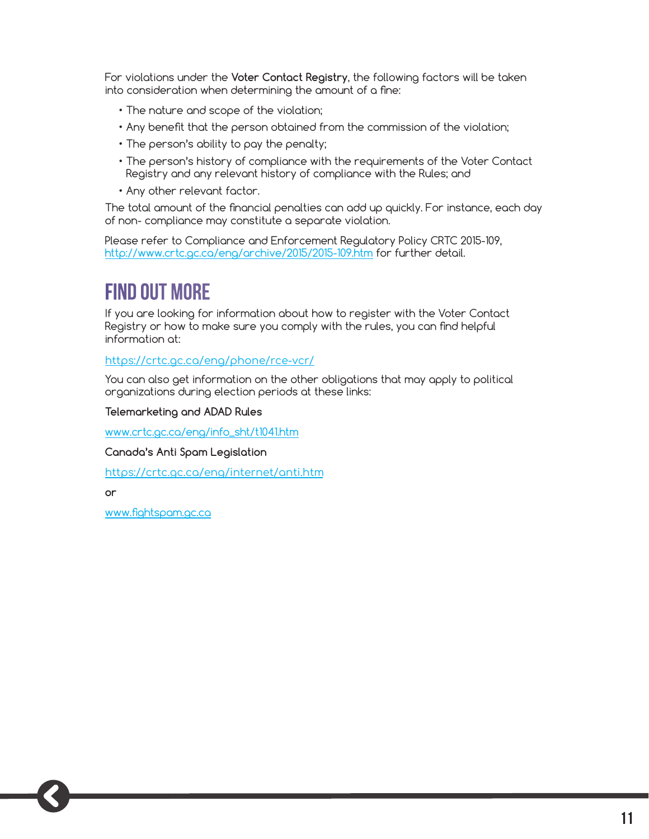For violations under the **Voter Contact Registry**, the following factors will be taken into consideration when determining the amount of a fine:

- The nature and scope of the violation;
- Any benefit that the person obtained from the commission of the violation;
- The person's ability to pay the penalty;
- The person's history of compliance with the requirements of the Voter Contact Registry and any relevant history of compliance with the Rules; and
- Any other relevant factor.

The total amount of the financial penalties can add up quickly. For instance, each day of non- compliance may constitute a separate violation.

Please refer to Compliance and Enforcement Regulatory Policy CRTC 2015-109, http://www.crtc.gc.ca/eng/archive/2015/2015-109.htm for further detail.

## **Find out more**

If you are looking for information about how to register with the Voter Contact Registry or how to make sure you comply with the rules, you can find helpful information at:

<https://crtc.gc.ca/eng/phone/rce-vcr/>

You can also get information on the other obligations that may apply to political organizations during election periods at these links:

**Telemarketing and ADAD Rules**

www.crtc.gc.ca/eng/info\_sht/t1041.htm

**Canada's Anti Spam Legislation**

<https://crtc.gc.ca/eng/internet/anti.htm>

**or**

www.fightspam.gc.ca